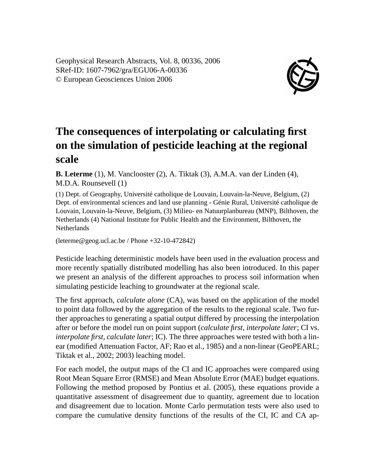Geophysical Research Abstracts, Vol. 8, 00336, 2006 SRef-ID: 1607-7962/gra/EGU06-A-00336 © European Geosciences Union 2006



## **The consequences of interpolating or calculating first on the simulation of pesticide leaching at the regional scale**

**B. Leterme** (1), M. Vanclooster (2), A. Tiktak (3), A.M.A. van der Linden (4), M.D.A. Rounsevell (1)

(1) Dept. of Geography, Université catholique de Louvain, Louvain-la-Neuve, Belgium, (2) Dept. of environmental sciences and land use planning - Génie Rural, Université catholique de Louvain, Louvain-la-Neuve, Belgium, (3) Milieu- en Natuurplanbureau (MNP), Bilthoven, the Netherlands (4) National Institute for Public Health and the Environment, Bilthoven, the **Netherlands** 

(leterme@geog.ucl.ac.be / Phone +32-10-472842)

Pesticide leaching deterministic models have been used in the evaluation process and more recently spatially distributed modelling has also been introduced. In this paper we present an analysis of the different approaches to process soil information when simulating pesticide leaching to groundwater at the regional scale.

The first approach, *calculate alone* (CA), was based on the application of the model to point data followed by the aggregation of the results to the regional scale. Two further approaches to generating a spatial output differed by processing the interpolation after or before the model run on point support (*calculate first, interpolate later*; CI vs. *interpolate first, calculate later*; IC). The three approaches were tested with both a linear (modified Attenuation Factor, AF; Rao et al., 1985) and a non-linear (GeoPEARL; Tiktak et al., 2002; 2003) leaching model.

For each model, the output maps of the CI and IC approaches were compared using Root Mean Square Error (RMSE) and Mean Absolute Error (MAE) budget equations. Following the method proposed by Pontius et al. (2005), these equations provide a quantitative assessment of disagreement due to quantity, agreement due to location and disagreement due to location. Monte Carlo permutation tests were also used to compare the cumulative density functions of the results of the CI, IC and CA ap